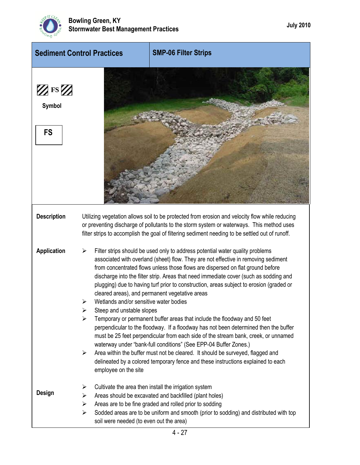

| <b>Sediment Control Practices</b>                   |                                                                                                            | <b>SMP-06 Filter Strips</b>                                                                                                                                                                                                                                                                                                                                                                                                                                                                                                                                                                                                                                                                                                                                                                                                                                                                                                                                                                      |  |  |
|-----------------------------------------------------|------------------------------------------------------------------------------------------------------------|--------------------------------------------------------------------------------------------------------------------------------------------------------------------------------------------------------------------------------------------------------------------------------------------------------------------------------------------------------------------------------------------------------------------------------------------------------------------------------------------------------------------------------------------------------------------------------------------------------------------------------------------------------------------------------------------------------------------------------------------------------------------------------------------------------------------------------------------------------------------------------------------------------------------------------------------------------------------------------------------------|--|--|
| $\mathbb{Z}$ FS $\mathbb{Z}$<br>Symbol<br><b>FS</b> |                                                                                                            |                                                                                                                                                                                                                                                                                                                                                                                                                                                                                                                                                                                                                                                                                                                                                                                                                                                                                                                                                                                                  |  |  |
| <b>Description</b>                                  |                                                                                                            | Utilizing vegetation allows soil to be protected from erosion and velocity flow while reducing<br>or preventing discharge of pollutants to the storm system or waterways. This method uses<br>filter strips to accomplish the goal of filtering sediment needing to be settled out of runoff.                                                                                                                                                                                                                                                                                                                                                                                                                                                                                                                                                                                                                                                                                                    |  |  |
| <b>Application</b>                                  | Wetlands and/or sensitive water bodies<br>Steep and unstable slopes<br>➤<br>≻<br>➤<br>employee on the site | Filter strips should be used only to address potential water quality problems<br>associated with overland (sheet) flow. They are not effective in removing sediment<br>from concentrated flows unless those flows are dispersed on flat ground before<br>discharge into the filter strip. Areas that need immediate cover (such as sodding and<br>plugging) due to having turf prior to construction, areas subject to erosion (graded or<br>cleared areas), and permanent vegetative areas<br>Temporary or permanent buffer areas that include the floodway and 50 feet<br>perpendicular to the floodway. If a floodway has not been determined then the buffer<br>must be 25 feet perpendicular from each side of the stream bank, creek, or unnamed<br>waterway under "bank-full conditions" (See EPP-04 Buffer Zones.)<br>Area within the buffer must not be cleared. It should be surveyed, flagged and<br>delineated by a colored temporary fence and these instructions explained to each |  |  |
| <b>Design</b>                                       | ➤<br>➤<br>➤<br>$\blacktriangleright$<br>soil were needed (to even out the area)                            | Cultivate the area then install the irrigation system<br>Areas should be excavated and backfilled (plant holes)<br>Areas are to be fine graded and rolled prior to sodding<br>Sodded areas are to be uniform and smooth (prior to sodding) and distributed with top                                                                                                                                                                                                                                                                                                                                                                                                                                                                                                                                                                                                                                                                                                                              |  |  |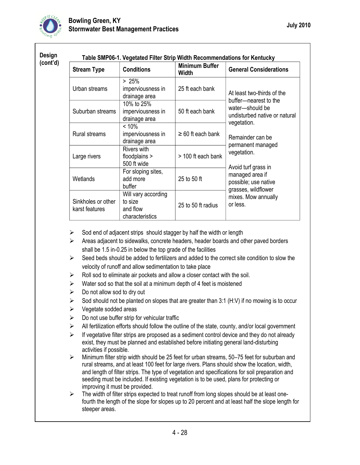

| (cont'd) | <b>Stream Type</b>                   | <b>Minimum Buffer</b><br><b>Conditions</b><br><b>Width</b>    |                        | <b>General Considerations</b>                                                                                             |  |
|----------|--------------------------------------|---------------------------------------------------------------|------------------------|---------------------------------------------------------------------------------------------------------------------------|--|
|          | Urban streams                        | > 25%<br>imperviousness in<br>drainage area                   | 25 ft each bank        | At least two-thirds of the<br>buffer-nearest to the<br>water-should be<br>undisturbed native or natural                   |  |
|          | Suburban streams                     | 10% to 25%<br>imperviousness in<br>drainage area              | 50 ft each bank        |                                                                                                                           |  |
|          | <b>Rural streams</b>                 | < 10%<br>imperviousness in<br>drainage area                   | $\geq 60$ ft each bank | vegetation.<br>Remainder can be                                                                                           |  |
|          | Large rivers                         | Rivers with<br>floodplains ><br>500 ft wide                   | > 100 ft each bank     | permanent managed<br>vegetation.<br>Avoid turf grass in<br>managed area if<br>possible; use native<br>grasses, wildflower |  |
|          | Wetlands                             | For sloping sites,<br>add more<br>buffer                      | 25 to 50 ft            |                                                                                                                           |  |
|          | Sinkholes or other<br>karst features | Will vary according<br>to size<br>and flow<br>characteristics | 25 to 50 ft radius     | mixes. Mow annually<br>or less.                                                                                           |  |

- $\triangleright$  Sod end of adjacent strips should stagger by half the width or length
- $\triangleright$  Areas adjacent to sidewalks, concrete headers, header boards and other paved borders shall be 1.5 in-0.25 in below the top grade of the facilities
- $\triangleright$  Seed beds should be added to fertilizers and added to the correct site condition to slow the velocity of runoff and allow sedimentation to take place
- $\triangleright$  Roll sod to eliminate air pockets and allow a closer contact with the soil.
- $\triangleright$  Water sod so that the soil at a minimum depth of 4 feet is moistened
- $\triangleright$  Do not allow sod to dry out
- $\triangleright$  Sod should not be planted on slopes that are greater than 3:1 (H:V) if no mowing is to occur
- $\triangleright$  Vegetate sodded areas
- $\triangleright$  Do not use buffer strip for vehicular traffic
- $\triangleright$  All fertilization efforts should follow the outline of the state, county, and/or local government
- $\triangleright$  If vegetative filter strips are proposed as a sediment control device and they do not already exist, they must be planned and established before initiating general land-disturbing activities if possible.
- $\triangleright$  Minimum filter strip width should be 25 feet for urban streams, 50–75 feet for suburban and rural streams, and at least 100 feet for large rivers. Plans should show the location, width, and length of filter strips. The type of vegetation and specifications for soil preparation and seeding must be included. If existing vegetation is to be used, plans for protecting or improving it must be provided.
- $\triangleright$  The width of filter strips expected to treat runoff from long slopes should be at least onefourth the length of the slope for slopes up to 20 percent and at least half the slope length for steeper areas.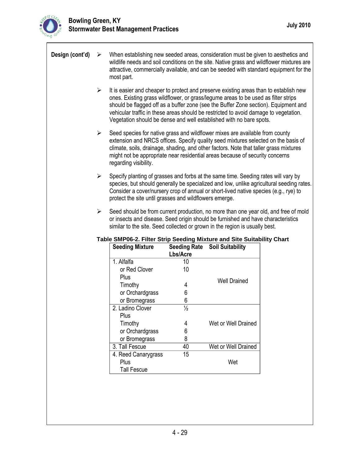٦

| Design (cont'd) | ➤                     | When establishing new seeded areas, consideration must be given to aesthetics and<br>wildlife needs and soil conditions on the site. Native grass and wildflower mixtures are<br>attractive, commercially available, and can be seeded with standard equipment for the<br>most part.                                                                                                                                                                                                                                                                                                                                                                                                                                                                                                                                                                                                                                                                               |                                 |                         |  |  |  |
|-----------------|-----------------------|--------------------------------------------------------------------------------------------------------------------------------------------------------------------------------------------------------------------------------------------------------------------------------------------------------------------------------------------------------------------------------------------------------------------------------------------------------------------------------------------------------------------------------------------------------------------------------------------------------------------------------------------------------------------------------------------------------------------------------------------------------------------------------------------------------------------------------------------------------------------------------------------------------------------------------------------------------------------|---------------------------------|-------------------------|--|--|--|
|                 | $\blacktriangleright$ | It is easier and cheaper to protect and preserve existing areas than to establish new<br>ones. Existing grass wildflower, or grass/legume areas to be used as filter strips<br>should be flagged off as a buffer zone (see the Buffer Zone section). Equipment and<br>vehicular traffic in these areas should be restricted to avoid damage to vegetation.<br>Vegetation should be dense and well established with no bare spots.                                                                                                                                                                                                                                                                                                                                                                                                                                                                                                                                  |                                 |                         |  |  |  |
|                 | $\blacktriangleright$ | Seed species for native grass and wildflower mixes are available from county<br>extension and NRCS offices. Specify quality seed mixtures selected on the basis of<br>climate, soils, drainage, shading, and other factors. Note that taller grass mixtures<br>might not be appropriate near residential areas because of security concerns<br>regarding visibility.<br>Specify planting of grasses and forbs at the same time. Seeding rates will vary by<br>species, but should generally be specialized and low, unlike agricultural seeding rates.<br>Consider a cover/nursery crop of annual or short-lived native species (e.g., rye) to<br>protect the site until grasses and wildflowers emerge.<br>Seed should be from current production, no more than one year old, and free of mold<br>or insects and disease. Seed origin should be furnished and have characteristics<br>similar to the site. Seed collected or grown in the region is usually best. |                                 |                         |  |  |  |
|                 | $\blacktriangleright$ |                                                                                                                                                                                                                                                                                                                                                                                                                                                                                                                                                                                                                                                                                                                                                                                                                                                                                                                                                                    |                                 |                         |  |  |  |
|                 | ➤                     |                                                                                                                                                                                                                                                                                                                                                                                                                                                                                                                                                                                                                                                                                                                                                                                                                                                                                                                                                                    |                                 |                         |  |  |  |
|                 |                       | Table SMP06-2. Filter Strip Seeding Mixture and Site Suitability Chart                                                                                                                                                                                                                                                                                                                                                                                                                                                                                                                                                                                                                                                                                                                                                                                                                                                                                             |                                 |                         |  |  |  |
|                 |                       | <b>Seeding Mixture</b>                                                                                                                                                                                                                                                                                                                                                                                                                                                                                                                                                                                                                                                                                                                                                                                                                                                                                                                                             | <b>Seeding Rate</b><br>Lbs/Acre | <b>Soil Suitability</b> |  |  |  |
|                 |                       | 1. Alfalfa                                                                                                                                                                                                                                                                                                                                                                                                                                                                                                                                                                                                                                                                                                                                                                                                                                                                                                                                                         | 10                              |                         |  |  |  |
|                 |                       | or Red Clover                                                                                                                                                                                                                                                                                                                                                                                                                                                                                                                                                                                                                                                                                                                                                                                                                                                                                                                                                      | 10                              |                         |  |  |  |
|                 |                       | Plus                                                                                                                                                                                                                                                                                                                                                                                                                                                                                                                                                                                                                                                                                                                                                                                                                                                                                                                                                               |                                 |                         |  |  |  |
|                 |                       | Timothy                                                                                                                                                                                                                                                                                                                                                                                                                                                                                                                                                                                                                                                                                                                                                                                                                                                                                                                                                            | 4                               | <b>Well Drained</b>     |  |  |  |
|                 |                       | or Orchardgrass                                                                                                                                                                                                                                                                                                                                                                                                                                                                                                                                                                                                                                                                                                                                                                                                                                                                                                                                                    | 6                               |                         |  |  |  |
|                 |                       | or Bromegrass                                                                                                                                                                                                                                                                                                                                                                                                                                                                                                                                                                                                                                                                                                                                                                                                                                                                                                                                                      | $\,6\,$                         |                         |  |  |  |
|                 |                       | 2. Ladino Clover                                                                                                                                                                                                                                                                                                                                                                                                                                                                                                                                                                                                                                                                                                                                                                                                                                                                                                                                                   | $\frac{1}{2}$                   |                         |  |  |  |
|                 |                       | Plus                                                                                                                                                                                                                                                                                                                                                                                                                                                                                                                                                                                                                                                                                                                                                                                                                                                                                                                                                               |                                 |                         |  |  |  |
|                 |                       | Timothy                                                                                                                                                                                                                                                                                                                                                                                                                                                                                                                                                                                                                                                                                                                                                                                                                                                                                                                                                            | 4                               | Wet or Well Drained     |  |  |  |
|                 |                       | or Orchardgrass                                                                                                                                                                                                                                                                                                                                                                                                                                                                                                                                                                                                                                                                                                                                                                                                                                                                                                                                                    | 6                               |                         |  |  |  |
|                 |                       | or Bromegrass                                                                                                                                                                                                                                                                                                                                                                                                                                                                                                                                                                                                                                                                                                                                                                                                                                                                                                                                                      | 8                               |                         |  |  |  |
|                 |                       | 3. Tall Fescue                                                                                                                                                                                                                                                                                                                                                                                                                                                                                                                                                                                                                                                                                                                                                                                                                                                                                                                                                     | 40<br>15                        | Wet or Well Drained     |  |  |  |
|                 |                       | 4. Reed Canarygrass<br>Plus                                                                                                                                                                                                                                                                                                                                                                                                                                                                                                                                                                                                                                                                                                                                                                                                                                                                                                                                        |                                 | Wet                     |  |  |  |
|                 |                       | <b>Tall Fescue</b>                                                                                                                                                                                                                                                                                                                                                                                                                                                                                                                                                                                                                                                                                                                                                                                                                                                                                                                                                 |                                 |                         |  |  |  |
|                 |                       |                                                                                                                                                                                                                                                                                                                                                                                                                                                                                                                                                                                                                                                                                                                                                                                                                                                                                                                                                                    |                                 |                         |  |  |  |